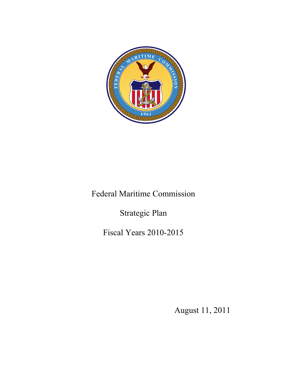

# Federal Maritime Commission

Strategic Plan

Fiscal Years 2010-2015

August 11, 2011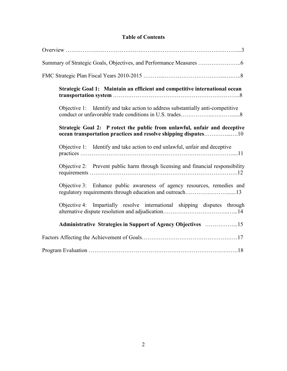# **Table of Contents**

| Strategic Goal 1: Maintain an efficient and competitive international ocean                                                                 |
|---------------------------------------------------------------------------------------------------------------------------------------------|
| Objective 1: Identify and take action to address substantially anti-competitive                                                             |
| Strategic Goal 2: P rotect the public from unlawful, unfair and deceptive<br>ocean transportation practices and resolve shipping disputes10 |
| Objective 1: Identify and take action to end unlawful, unfair and deceptive                                                                 |
| Objective 2: Prevent public harm through licensing and financial responsibility                                                             |
| Objective 3: Enhance public awareness of agency resources, remedies and<br>regulatory requirements through education and outreach13         |
| Objective 4: Impartially resolve international shipping disputes through                                                                    |
|                                                                                                                                             |
|                                                                                                                                             |
|                                                                                                                                             |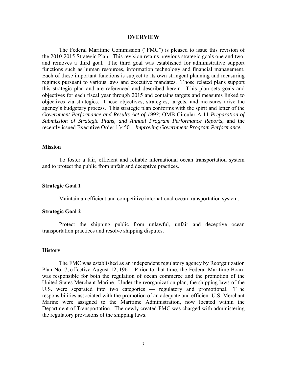#### **OVERVIEW**

The Federal Maritime Commission ("FMC") is pleased to issue this revision of the 2010-2015 Strategic Plan. This revision retains previous strategic goals one and two, and removes a third goal. T he third goal was established for administrative support functions such as human resources, information technology and financial management. Each of these important functions is subject to its own stringent planning and measuring regimes pursuant to various laws and executive mandates. Those related plans support this strategic plan and are referenced and described herein. T his plan sets goals and objectives for each fiscal year through 2015 and contains targets and measures linked to objectives via strategies. T hese objectives, strategies, targets, and measures drive the agency's budgetary process. This strategic plan conforms with the spirit and letter of the *Government Performance and Results Act of 1993*; OMB Circular A-11 *Preparation of Submission of Strategic Plans, and Annual Program Performance Reports*; and the recently issued Executive Order 13450 – *Improving Government Program Performance.* 

#### **Mission**

To foster a fair, efficient and reliable international ocean transportation system and to protect the public from unfair and deceptive practices.

#### **Strategic Goal 1**

Maintain an efficient and competitive international ocean transportation system.

#### **Strategic Goal 2**

Protect the shipping public from unlawful, unfair and deceptive ocean transportation practices and resolve shipping disputes.

#### **History**

The FMC was established as an independent regulatory agency by Reorganization Plan No. 7, effective August 12, 1961. P rior to that time, the Federal Maritime Board was responsible for both the regulation of ocean commerce and the promotion of the United States Merchant Marine. Under the reorganization plan, the shipping laws of the U.S. were separated into two categories — regulatory and promotional. T he responsibilities associated with the promotion of an adequate and efficient U.S. Merchant Marine were assigned to the Maritime Administration, now located within the Department of Transportation. The newly created FMC was charged with administering the regulatory provisions of the shipping laws.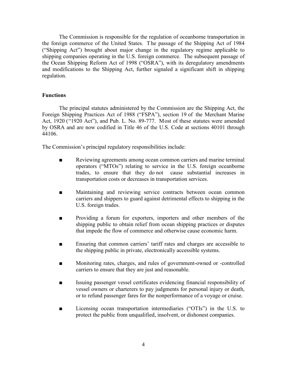The Commission is responsible for the regulation of oceanborne transportation in the foreign commerce of the United States. T he passage of the Shipping Act of 1984 ("Shipping Act") brought about major change in the regulatory regime applicable to shipping companies operating in the U.S. foreign commerce. The subsequent passage of the Ocean Shipping Reform Act of 1998 ("OSRA"), with its deregulatory amendments and modifications to the Shipping Act, further signaled a significant shift in shipping regulation.

## **Functions**

 The principal statutes administered by the Commission are the Shipping Act, the Foreign Shipping Practices Act of 1988 ("FSPA"), section 19 of the Merchant Marine Act, 1920 ("1920 Act"), and Pub. L. No. 89-777. Most of these statutes were amended by OSRA and are now codified in Title 46 of the U.S. Code at sections 40101 through 44106.

The Commission's principal regulatory responsibilities include:

- Reviewing agreements among ocean common carriers and marine terminal operators ("MTOs") relating to service in the U.S. foreign oceanborne trades, to ensure that they do not cause substantial increases in transportation costs or decreases in transportation services.
- Maintaining and reviewing service contracts between ocean common carriers and shippers to guard against detrimental effects to shipping in the U.S. foreign trades.
- Providing a forum for exporters, importers and other members of the shipping public to obtain relief from ocean shipping practices or disputes that impede the flow of commerce and otherwise cause economic harm.
- Ensuring that common carriers' tariff rates and charges are accessible to the shipping public in private, electronically accessible systems.
- Monitoring rates, charges, and rules of government-owned or -controlled carriers to ensure that they are just and reasonable.
- Issuing passenger vessel certificates evidencing financial responsibility of vessel owners or charterers to pay judgments for personal injury or death, or to refund passenger fares for the nonperformance of a voyage or cruise.
- Licensing ocean transportation intermediaries ("OTIs") in the U.S. to protect the public from unqualified, insolvent, or dishonest companies.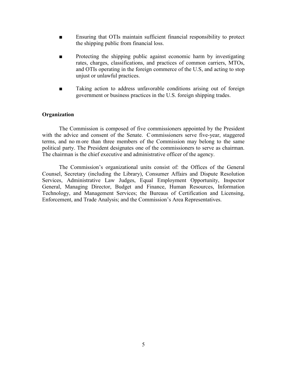- Ensuring that OTIs maintain sufficient financial responsibility to protect the shipping public from financial loss.
- Protecting the shipping public against economic harm by investigating rates, charges, classifications, and practices of common carriers, MTOs, and OTIs operating in the foreign commerce of the U.S, and acting to stop unjust or unlawful practices.
- Taking action to address unfavorable conditions arising out of foreign government or business practices in the U.S. foreign shipping trades.

#### **Organization**

The Commission is composed of five commissioners appointed by the President with the advice and consent of the Senate. C ommissioners serve five-year, staggered terms, and no m ore than three members of the Commission may belong to the same political party. The President designates one of the commissioners to serve as chairman. The chairman is the chief executive and administrative officer of the agency.

The Commission's organizational units consist of: the Offices of the General Counsel, Secretary (including the Library), Consumer Affairs and Dispute Resolution Services, Administrative Law Judges, Equal Employment Opportunity, Inspector General, Managing Director, Budget and Finance, Human Resources, Information Technology, and Management Services; the Bureaus of Certification and Licensing, Enforcement, and Trade Analysis; and the Commission's Area Representatives.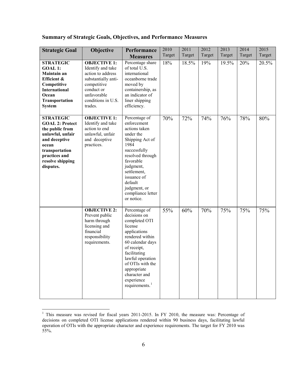| <b>Strategic Goal</b>                                                                                                                                                           | Objective                                                                                                                                                         | Performance<br><b>Measures</b>                                                                                                                                                                                                                                      | 2010<br>Target | 2011<br>Target | 2012<br>Target | 2013<br>Target | 2014<br>Target | 2015<br>Target |
|---------------------------------------------------------------------------------------------------------------------------------------------------------------------------------|-------------------------------------------------------------------------------------------------------------------------------------------------------------------|---------------------------------------------------------------------------------------------------------------------------------------------------------------------------------------------------------------------------------------------------------------------|----------------|----------------|----------------|----------------|----------------|----------------|
| <b>STRATEGIC</b><br><b>GOAL 1:</b><br>Maintain an<br>Efficient &<br>Competitive<br><b>International</b><br>Ocean<br><b>Transportation</b><br><b>System</b>                      | <b>OBJECTIVE 1:</b><br>Identify and take<br>action to address<br>substantially anti-<br>competitive<br>conduct or<br>unfavorable<br>conditions in U.S.<br>trades. | Percentage share<br>of total U.S.<br>international<br>oceanborne trade<br>moved by<br>containership, as<br>an indicator of<br>liner shipping<br>efficiency.                                                                                                         | 18%            | 18.5%          | 19%            | 19.5%          | 20%            | 20.5%          |
| <b>STRATEGIC</b><br><b>GOAL 2: Protect</b><br>the public from<br>unlawful, unfair<br>and deceptive<br>ocean<br>transportation<br>practices and<br>resolve shipping<br>disputes. | <b>OBJECTIVE 1:</b><br>Identify and take<br>action to end<br>unlawful, unfair<br>and deceptive<br>practices.                                                      | Percentage of<br>enforcement<br>actions taken<br>under the<br>Shipping Act of<br>1984<br>successfully<br>resolved through<br>favorable<br>judgment,<br>settlement,<br>issuance of<br>default<br>judgment, or<br>compliance letter<br>or notice.                     | 70%            | 72%            | 74%            | 76%            | 78%            | 80%            |
|                                                                                                                                                                                 | <b>OBJECTIVE 2:</b><br>Prevent public<br>harm through<br>licensing and<br>financial<br>responsibility<br>requirements.                                            | Percentage of<br>decisions on<br>completed OTI<br>license<br>applications<br>rendered within<br>60 calendar days<br>of receipt,<br>facilitating<br>lawful operation<br>of OTIs with the<br>appropriate<br>character and<br>experience<br>requirements. <sup>1</sup> | 55%            | 60%            | 70%            | 75%            | 75%            | 75%            |

# **Summary of Strategic Goals, Objectives, and Performance Measures**

 $\overline{a}$ 

<span id="page-5-0"></span><sup>&</sup>lt;sup>1</sup> This measure was revised for fiscal years 2011-2015. In FY 2010, the measure was: Percentage of decisions on completed OTI license applications rendered within 90 business days, facilitating lawful operation of OTIs with the appropriate character and experience requirements. The target for FY 2010 was 55%.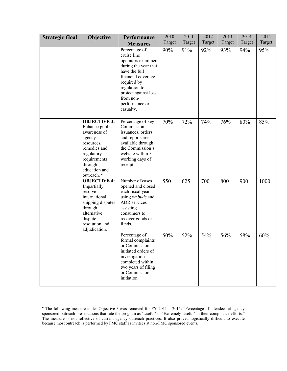| <b>Strategic Goal</b> | Objective                                                                                                                                                                         | Performance<br><b>Measures</b>                                                                                                                                                                                        | 2010<br>Target | 2011<br>Target | 2012<br>Target | 2013<br>Target | 2014<br>Target | 2015<br>Target |
|-----------------------|-----------------------------------------------------------------------------------------------------------------------------------------------------------------------------------|-----------------------------------------------------------------------------------------------------------------------------------------------------------------------------------------------------------------------|----------------|----------------|----------------|----------------|----------------|----------------|
|                       |                                                                                                                                                                                   | Percentage of<br>cruise line<br>operators examined<br>during the year that<br>have the full<br>financial coverage<br>required by<br>regulation to<br>protect against loss<br>from non-<br>performance or<br>casualty. | 90%            | 91%            | 92%            | 93%            | 94%            | 95%            |
|                       | <b>OBJECTIVE 3:</b><br>Enhance public<br>awareness of<br>agency<br>resources,<br>remedies and<br>regulatory<br>requirements<br>through<br>education and<br>outreach. <sup>2</sup> | Percentage of key<br>Commission<br>issuances, orders<br>and reports are<br>available through<br>the Commission's<br>website within 5<br>working days of<br>receipt.                                                   | 70%            | 72%            | 74%            | 76%            | 80%            | 85%            |
|                       | <b>OBJECTIVE 4:</b><br>Impartially<br>resolve<br>international<br>shipping disputes<br>through<br>alternative<br>dispute<br>resolution and<br>adjudication.                       | Number of cases<br>opened and closed<br>each fiscal year<br>using ombuds and<br>ADR services<br>assisting<br>consumers to<br>recover goods or<br>funds.                                                               | 550            | 625            | 700            | 800            | 900            | 1000           |
|                       |                                                                                                                                                                                   | Percentage of<br>formal complaints<br>or Commission<br>initiated orders of<br>investigation<br>completed within<br>two years of filing<br>or Commission<br>initiation.                                                | 50%            | 52%            | 54%            | 56%            | 58%            | 60%            |

 $\overline{\phantom{a}}$  , which is a set of the set of the set of the set of the set of the set of the set of the set of the set of the set of the set of the set of the set of the set of the set of the set of the set of the set of th

<sup>&</sup>lt;sup>2</sup> The following measure under Objective 3 w as removed for FY 2011 – 2015: "Percentage of attendees at agency sponsored outreach presentations that rate the program as 'Useful' or 'Extremely Useful' in their compliance efforts." The measure is not reflective of current agency outreach practices. It also proved logistically difficult to execute because most outreach is performed by FMC staff as invitees at non-FMC sponsored events.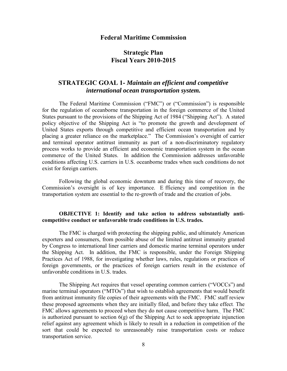## **Federal Maritime Commission**

# **Strategic Plan Fiscal Years 2010-2015**

# **STRATEGIC GOAL 1-** *Maintain an efficient and competitive international ocean transportation system.*

The Federal Maritime Commission ("FMC") or ("Commission") is responsible for the regulation of oceanborne transportation in the foreign commerce of the United States pursuant to the provisions of the Shipping Act of 1984 ("Shipping Act"). A stated policy objective of the Shipping Act is "to promote the growth and development of United States exports through competitive and efficient ocean transportation and by placing a greater reliance on the marketplace." The Commission's oversight of carrier and terminal operator antitrust immunity as part of a non-discriminatory regulatory process works to provide an efficient and economic transportation system in the ocean commerce of the United States. In addition the Commission addresses unfavorable conditions affecting U.S. carriers in U.S. oceanborne trades when such conditions do not exist for foreign carriers.

Following the global economic downturn and during this time of recovery, the Commission's oversight is of key importance. E fficiency and competition in the transportation system are essential to the re-growth of trade and the creation of jobs.

## **OBJECTIVE 1: Identify and take action to address substantially anticompetitive conduct or unfavorable trade conditions in U.S. trades.**

The FMC is charged with protecting the shipping public, and ultimately American exporters and consumers, from possible abuse of the limited antitrust immunity granted by Congress to international liner carriers and domestic marine terminal operators under the Shipping Act. In addition, the FMC is responsible, under the Foreign Shipping Practices Act of 1988, for investigating whether laws, rules, regulations or practices of foreign governments, or the practices of foreign carriers result in the existence of unfavorable conditions in U.S. trades.

The Shipping Act requires that vessel operating common carriers ("VOCCs") and marine terminal operators ("MTOs") that wish to establish agreements that would benefit from antitrust immunity file copies of their agreements with the FMC. FMC staff review these proposed agreements when they are initially filed, and before they take effect. The FMC allows agreements to proceed when they do not cause competitive harm. The FMC is authorized pursuant to section  $6(g)$  of the Shipping Act to seek appropriate injunction relief against any agreement which is likely to result in a reduction in competition of the sort that could be expected to unreasonably raise transportation costs or reduce transportation service.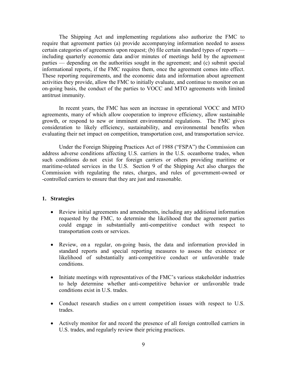The Shipping Act and implementing regulations also authorize the FMC to require that agreement parties (a) provide accompanying information needed to assess certain categories of agreements upon request; (b) file certain standard types of reports including quarterly economic data and/or minutes of meetings held by the agreement parties — depending on the authorities sought in the agreement; and (c) submit special informational reports, if the FMC requires them, once the agreement comes into effect. These reporting requirements, and the economic data and information about agreement activities they provide, allow the FMC to initially evaluate, and continue to monitor on an on-going basis, the conduct of the parties to VOCC and MTO agreements with limited antitrust immunity.

In recent years, the FMC has seen an increase in operational VOCC and MTO agreements, many of which allow cooperation to improve efficiency, allow sustainable growth, or respond to new or imminent environmental regulations. The FMC gives consideration to likely efficiency, sustainability, and environmental benefits when evaluating their net impact on competition, transportation cost, and transportation service.

Under the Foreign Shipping Practices Act of 1988 ("FSPA") the Commission can address adverse conditions affecting U.S. carriers in the U.S. oceanborne trades, when such conditions do not exist for foreign carriers or others providing maritime or maritime-related services in the U.S. Section 9 of the Shipping Act also charges the Commission with regulating the rates, charges, and rules of government-owned or -controlled carriers to ensure that they are just and reasonable.

- Review initial agreements and amendments, including any additional information requested by the FMC, to determine the likelihood that the agreement parties could engage in substantially anti-competitive conduct with respect to transportation costs or services.
- Review, on a regular, on-going basis, the data and information provided in standard reports and special reporting measures to assess the existence or likelihood of substantially anti-competitive conduct or unfavorable trade conditions.
- Initiate meetings with representatives of the FMC's various stakeholder industries to help determine whether anti-competitive behavior or unfavorable trade conditions exist in U.S. trades.
- Conduct research studies on c urrent competition issues with respect to U.S. trades.
- Actively monitor for and record the presence of all foreign controlled carriers in U.S. trades, and regularly review their pricing practices.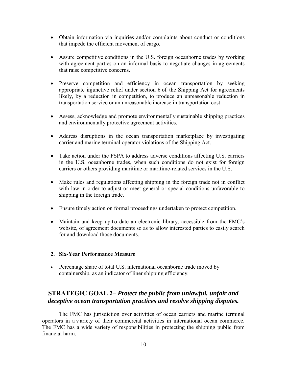- Obtain information via inquiries and/or complaints about conduct or conditions that impede the efficient movement of cargo.
- Assure competitive conditions in the U.S. foreign oceanborne trades by working with agreement parties on an informal basis to negotiate changes in agreements that raise competitive concerns.
- Preserve competition and efficiency in ocean transportation by seeking appropriate injunctive relief under section 6 of the Shipping Act for agreements likely, by a reduction in competition, to produce an unreasonable reduction in transportation service or an unreasonable increase in transportation cost.
- Assess, acknowledge and promote environmentally sustainable shipping practices and environmentally protective agreement activities.
- Address disruptions in the ocean transportation marketplace by investigating carrier and marine terminal operator violations of the Shipping Act.
- Take action under the FSPA to address adverse conditions affecting U.S. carriers in the U.S. oceanborne trades, when such conditions do not exist for foreign carriers or others providing maritime or maritime-related services in the U.S.
- Make rules and regulations affecting shipping in the foreign trade not in conflict with law in order to adjust or meet general or special conditions unfavorable to shipping in the foreign trade.
- Ensure timely action on formal proceedings undertaken to protect competition.
- Maintain and keep up to date an electronic library, accessible from the FMC's website, of agreement documents so as to allow interested parties to easily search for and download those documents.

## **2. Six-Year Performance Measure**

• Percentage share of total U.S. international oceanborne trade moved by containership, as an indicator of liner shipping efficiency.

# **STRATEGIC GOAL 2–** *Protect the public from unlawful, unfair and deceptive ocean transportation practices and resolve shipping disputes.*

The FMC has jurisdiction over activities of ocean carriers and marine terminal operators in a v ariety of their commercial activities in international ocean commerce. The FMC has a wide variety of responsibilities in protecting the shipping public from financial harm.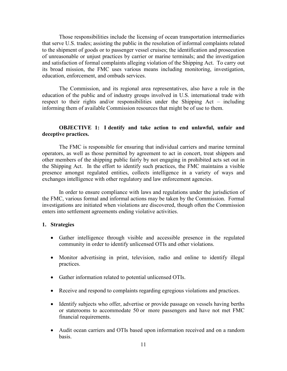Those responsibilities include the licensing of ocean transportation intermediaries that serve U.S. trades; assisting the public in the resolution of informal complaints related to the shipment of goods or to passenger vessel cruises; the identification and prosecution of unreasonable or unjust practices by carrier or marine terminals; and the investigation and satisfaction of formal complaints alleging violation of the Shipping Act. To carry out its broad mission, the FMC uses various means including monitoring, investigation, education, enforcement, and ombuds services.

The Commission, and its regional area representatives, also have a role in the education of the public and of industry groups involved in U.S. international trade with respect to their rights and/or responsibilities under the Shipping Act – including informing them of available Commission resources that might be of use to them.

## **OBJECTIVE 1: I dentify and take action to end unlawful, unfair and deceptive practices.**

The FMC is responsible for ensuring that individual carriers and marine terminal operators, as well as those permitted by agreement to act in concert, treat shippers and other members of the shipping public fairly by not engaging in prohibited acts set out in the Shipping Act. In the effort to identify such practices, the FMC maintains a visible presence amongst regulated entities, collects intelligence in a variety of ways and exchanges intelligence with other regulatory and law enforcement agencies.

In order to ensure compliance with laws and regulations under the jurisdiction of the FMC, various formal and informal actions may be taken by the Commission. Formal investigations are initiated when violations are discovered, though often the Commission enters into settlement agreements ending violative activities.

- Gather intelligence through visible and accessible presence in the regulated community in order to identify unlicensed OTIs and other violations.
- Monitor advertising in print, television, radio and online to identify illegal practices.
- Gather information related to potential unlicensed OTIs.
- Receive and respond to complaints regarding egregious violations and practices.
- Identify subjects who offer, advertise or provide passage on vessels having berths or staterooms to accommodate 50 or more passengers and have not met FMC financial requirements.
- Audit ocean carriers and OTIs based upon information received and on a random basis.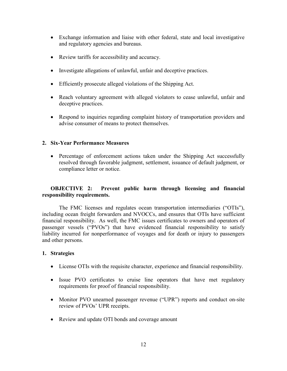- Exchange information and liaise with other federal, state and local investigative and regulatory agencies and bureaus.
- Review tariffs for accessibility and accuracy.
- Investigate allegations of unlawful, unfair and deceptive practices.
- Efficiently prosecute alleged violations of the Shipping Act.
- Reach voluntary agreement with alleged violators to cease unlawful, unfair and deceptive practices.
- Respond to inquiries regarding complaint history of transportation providers and advise consumer of means to protect themselves.

# **2. Six-Year Performance Measures**

• Percentage of enforcement actions taken under the Shipping Act successfully resolved through favorable judgment, settlement, issuance of default judgment, or compliance letter or notice.

# **OBJECTIVE 2: Prevent public harm through licensing and financial responsibility requirements.**

 The FMC licenses and regulates ocean transportation intermediaries ("OTIs"), including ocean freight forwarders and NVOCCs, and ensures that OTIs have sufficient financial responsibility. As well, the FMC issues certificates to owners and operators of passenger vessels ("PVOs") that have evidenced financial responsibility to satisfy liability incurred for nonperformance of voyages and for death or injury to passengers and other persons.

- License OTIs with the requisite character, experience and financial responsibility.
- Issue PVO certificates to cruise line operators that have met regulatory requirements for proof of financial responsibility.
- Monitor PVO unearned passenger revenue ("UPR") reports and conduct on-site review of PVOs' UPR receipts.
- Review and update OTI bonds and coverage amount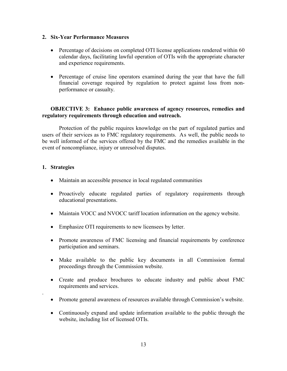# **2. Six-Year Performance Measures**

- Percentage of decisions on completed OTI license applications rendered within 60 calendar days, facilitating lawful operation of OTIs with the appropriate character and experience requirements.
- Percentage of cruise line operators examined during the year that have the full financial coverage required by regulation to protect against loss from nonperformance or casualty.

# **OBJECTIVE 3: Enhance public awareness of agency resources, remedies and regulatory requirements through education and outreach.**

Protection of the public requires knowledge on the part of regulated parties and users of their services as to FMC regulatory requirements. As well, the public needs to be well informed of the services offered by the FMC and the remedies available in the event of noncompliance, injury or unresolved disputes.

# **1. Strategies**

.

- Maintain an accessible presence in local regulated communities
- Proactively educate regulated parties of regulatory requirements through educational presentations.
- Maintain VOCC and NVOCC tariff location information on the agency website.
- Emphasize OTI requirements to new licensees by letter.
- Promote awareness of FMC licensing and financial requirements by conference participation and seminars.
- Make available to the public key documents in all Commission formal proceedings through the Commission website.
- Create and produce brochures to educate industry and public about FMC requirements and services.
- Promote general awareness of resources available through Commission's website.
- Continuously expand and update information available to the public through the website, including list of licensed OTIs.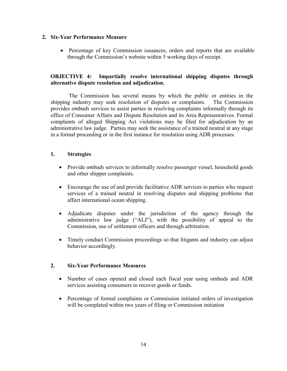# **2. Six-Year Performance Measure**

• Percentage of key Commission issuances, orders and reports that are available through the Commission's website within 5 working days of receipt.

# **OBJECTIVE 4: Impartially resolve international shipping disputes through alternative dispute resolution and adjudication.**

 The Commission has several means by which the public or entities in the shipping industry may seek resolution of disputes or complaints. The Commission provides *ombuds* services to assist parties in resolving complaints informally through its office of Consumer Affairs and Dispute Resolution and its Area Representatives. Formal complaints of alleged Shipping Act violations may be filed for adjudication by an administrative law judge. Parties may seek the assistance of a trained neutral at any stage in a formal proceeding or in the first instance for resolution using ADR processes.

# **1. Strategies**

- Provide *ombuds* services to informally resolve passenger vessel, household goods and other shipper complaints.
- Encourage the use of and provide facilitative ADR services to parties who request services of a trained neutral in resolving disputes and shipping problems that affect international ocean shipping.
- Adjudicate disputes under the jurisdiction of the agency through the administrative law judge ("ALJ"), with the possibility of appeal to the Commission, use of settlement officers and through arbitration.
- Timely conduct Commission proceedings so that litigants and industry can adjust behavior accordingly.

# **2. Six-Year Performance Measures**

- Number of cases opened and closed each fiscal year using ombuds and ADR services assisting consumers to recover goods or funds.
- Percentage of formal complaints or Commission initiated orders of investigation will be completed within two years of filing or Commission initiation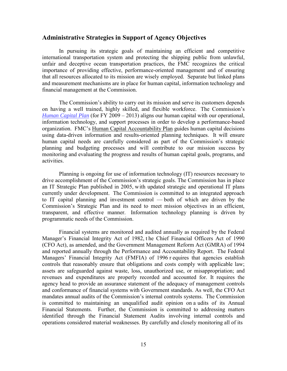#### **Administrative Strategies in Support of Agency Objectives**

In pursuing its strategic goals of maintaining an efficient and competitive international transportation system and protecting the shipping public from unlawful, unfair and deceptive ocean transportation practices, the FMC recognizes the critical importance of providing effective, performance-oriented management and of ensuring that all resources allocated to its mission are wisely employed. Separate but linked plans and measurement mechanisms are in place for human capital, information technology and financial management at the Commission.

The Commission's ability to carry out its mission and serve its customers depends on having a well trained, highly skilled, and flexible workforce. The Commission's *[Human Capital Plan](http://fmcmail.fmc.gov/exchweb/bin/redir.asp?URL=http://home.fmc.gov/OMD/HCP.pdf)* (for FY 2009 – 2013) aligns our human capital with our operational, information technology, and support processes in order to develop a performance-based organization. FMC's [Human Capital Accountability Plan](http://fmcmail.fmc.gov/exchweb/bin/redir.asp?URL=http://home.fmc.gov/OMD/FMC%2520HC%2520Accountability%2520Plan-final.pdf) guides human capital decisions using data-driven information and results-oriented planning techniques. It will ensure human capital needs are carefully considered as part of the Commission's strategic planning and budgeting processes and will contribute to our mission success by monitoring and evaluating the progress and results of human capital goals, programs, and activities.

Planning is ongoing for use of information technology (IT) resources necessary to drive accomplishment of the Commission's strategic goals. The Commission has in place an IT Strategic Plan published in 2005, with updated strategic and operational IT plans currently under development. The Commission is committed to an integrated approach to IT capital planning and investment control — both of which are driven by the Commission's Strategic Plan and its need to meet mission objectives in an efficient, transparent, and effective manner. Information technology planning is driven by programmatic needs of the Commission.

Financial systems are monitored and audited annually as required by the Federal Manager's Financial Integrity Act of 1982, t he Chief Financial Officers Act of 1990 (CFO Act), as amended, and the Government Management Reform Act (GMRA) of 1994 and reported annually through the Performance and Accountability Report. The Federal Managers' Financial Integrity Act (FMFIA) of 1996 r equires that agencies establish controls that reasonably ensure that obligations and costs comply with applicable law; assets are safeguarded against waste, loss, unauthorized use, or misappropriation; and revenues and expenditures are properly recorded and accounted for. It requires the agency head to provide an assurance statement of the adequacy of management controls and conformance of financial systems with Government standards. As well, the CFO Act mandates annual audits of the Commission's internal controls systems. The Commission is committed to maintaining an unqualified audit opinion on a udits of its Annual Financial Statements. Further, the Commission is committed to addressing matters identified through the Financial Statement Audits involving internal controls and operations considered material weaknesses. By carefully and closely monitoring all of its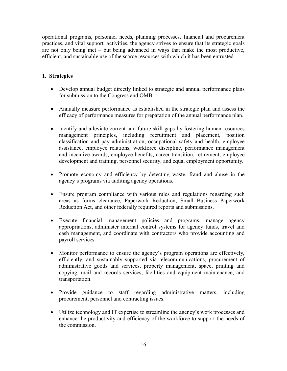operational programs, personnel needs, planning processes, financial and procurement practices, and vital support activities, the agency strives to ensure that its strategic goals are not only being met – but being advanced in ways that make the most productive, efficient, and sustainable use of the scarce resources with which it has been entrusted.

- Develop annual budget directly linked to strategic and annual performance plans for submission to the Congress and OMB.
- Annually measure performance as established in the strategic plan and assess the efficacy of performance measures for preparation of the annual performance plan.
- Identify and alleviate current and future skill gaps by fostering human resources management principles, including recruitment and placement, position classification and pay administration, occupational safety and health, employee assistance, employee relations, workforce discipline, performance management and incentive awards, employee benefits, career transition, retirement, employee development and training, personnel security, and equal employment opportunity.
- Promote economy and efficiency by detecting waste, fraud and abuse in the agency's programs via auditing agency operations.
- Ensure program compliance with various rules and regulations regarding such areas as forms clearance, Paperwork Reduction, Small Business Paperwork Reduction Act, and other federally required reports and submissions.
- Execute financial management policies and programs, manage agency appropriations, administer internal control systems for agency funds, travel and cash management, and coordinate with contractors who provide accounting and payroll services.
- Monitor performance to ensure the agency's program operations are effectively, efficiently, and sustainably supported via telecommunications, procurement of administrative goods and services, property management, space, printing and copying, mail and records services, facilities and equipment maintenance, and transportation.
- Provide guidance to staff regarding administrative matters, including procurement, personnel and contracting issues.
- Utilize technology and IT expertise to streamline the agency's work processes and enhance the productivity and efficiency of the workforce to support the needs of the commission.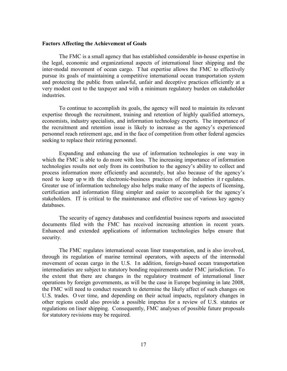#### **Factors Affecting the Achievement of Goals**

The FMC is a small agency that has established considerable in-house expertise in the legal, economic and organizational aspects of international liner shipping and the inter-modal movement of ocean cargo. T hat expertise allows the FMC to effectively pursue its goals of maintaining a competitive international ocean transportation system and protecting the public from unlawful, unfair and deceptive practices efficiently at a very modest cost to the taxpayer and with a minimum regulatory burden on stakeholder industries.

To continue to accomplish its goals, the agency will need to maintain its relevant expertise through the recruitment, training and retention of highly qualified attorneys, economists, industry specialists, and information technology experts. The importance of the recruitment and retention issue is likely to increase as the agency's experienced personnel reach retirement age, and in the face of competition from other federal agencies seeking to replace their retiring personnel.

Expanding and enhancing the use of information technologies is one way in which the FMC is able to do more with less. The increasing importance of information technologies results not only from its contribution to the agency's ability to collect and process information more efficiently and accurately, but also because of the agency's need to keep up w ith the electronic-business practices of the industries it r egulates. Greater use of information technology also helps make many of the aspects of licensing, certification and information filing simpler and easier to accomplish for the agency's stakeholders. IT is critical to the maintenance and effective use of various key agency databases.

The security of agency databases and confidential business reports and associated documents filed with the FMC has received increasing attention in recent years. Enhanced and extended applications of information technologies helps ensure that security.

The FMC regulates international ocean liner transportation, and is also involved, through its regulation of marine terminal operators, with aspects of the intermodal movement of ocean cargo in the U.S. In addition, foreign-based ocean transportation intermediaries are subject to statutory bonding requirements under FMC jurisdiction. To the extent that there are changes in the regulatory treatment of international liner operations by foreign governments, as will be the case in Europe beginning in late 2008, the FMC will need to conduct research to determine the likely affect of such changes on U.S. trades. O ver time, and depending on their actual impacts, regulatory changes in other regions could also provide a possible impetus for a review of U.S. statutes or regulations on liner shipping. Consequently, FMC analyses of possible future proposals for statutory revisions may be required.